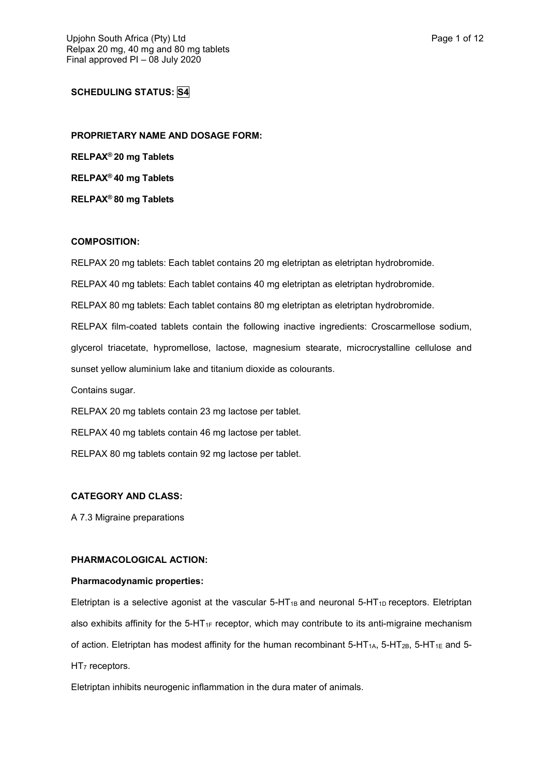# **SCHEDULING STATUS: S4**

**PROPRIETARY NAME AND DOSAGE FORM: RELPAX ® 20 mg Tablets RELPAX ® 40 mg Tablets RELPAX ® 80 mg Tablets**

## **COMPOSITION:**

RELPAX 20 mg tablets: Each tablet contains 20 mg eletriptan as eletriptan hydrobromide. RELPAX 40 mg tablets: Each tablet contains 40 mg eletriptan as eletriptan hydrobromide. RELPAX 80 mg tablets: Each tablet contains 80 mg eletriptan as eletriptan hydrobromide. RELPAX film-coated tablets contain the following inactive ingredients: Croscarmellose sodium, glycerol triacetate, hypromellose, lactose, magnesium stearate, microcrystalline cellulose and sunset yellow aluminium lake and titanium dioxide as colourants. Contains sugar. RELPAX 20 mg tablets contain 23 mg lactose per tablet.

RELPAX 40 mg tablets contain 46 mg lactose per tablet. RELPAX 80 mg tablets contain 92 mg lactose per tablet.

## **CATEGORY AND CLASS:**

A 7.3 Migraine preparations

## **PHARMACOLOGICAL ACTION:**

#### **Pharmacodynamic properties:**

Eletriptan is a selective agonist at the vascular  $5-HT_{1B}$  and neuronal  $5-HT_{1D}$  receptors. Eletriptan also exhibits affinity for the 5-HT<sub>1F</sub> receptor, which may contribute to its anti-migraine mechanism of action. Eletriptan has modest affinity for the human recombinant 5-HT<sub>1A</sub>, 5-HT<sub>1B</sub>, 5-HT<sub>1E</sub> and 5- $HT<sub>7</sub>$  receptors.

Eletriptan inhibits neurogenic inflammation in the dura mater of animals.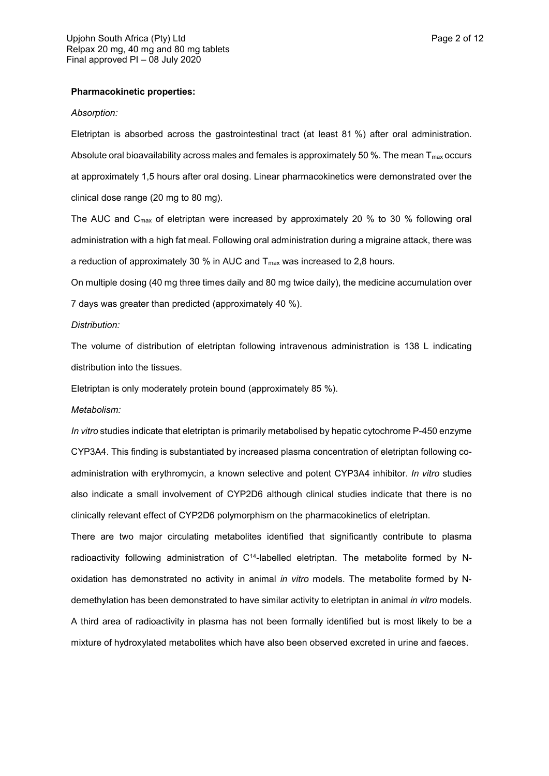#### **Pharmacokinetic properties:**

#### *Absorption:*

Eletriptan is absorbed across the gastrointestinal tract (at least 81 %) after oral administration. Absolute oral bioavailability across males and females is approximately 50 %. The mean  $T_{\text{max}}$  occurs at approximately 1,5 hours after oral dosing. Linear pharmacokinetics were demonstrated over the clinical dose range (20 mg to 80 mg).

The AUC and Cmax of eletriptan were increased by approximately 20 % to 30 % following oral administration with a high fat meal. Following oral administration during a migraine attack, there was a reduction of approximately 30 % in AUC and  $T_{\text{max}}$  was increased to 2,8 hours.

On multiple dosing (40 mg three times daily and 80 mg twice daily), the medicine accumulation over 7 days was greater than predicted (approximately 40 %).

#### *Distribution:*

The volume of distribution of eletriptan following intravenous administration is 138 L indicating distribution into the tissues.

Eletriptan is only moderately protein bound (approximately 85 %).

#### *Metabolism:*

*In vitro* studies indicate that eletriptan is primarily metabolised by hepatic cytochrome P-450 enzyme CYP3A4. This finding is substantiated by increased plasma concentration of eletriptan following coadministration with erythromycin, a known selective and potent CYP3A4 inhibitor. *In vitro* studies also indicate a small involvement of CYP2D6 although clinical studies indicate that there is no clinically relevant effect of CYP2D6 polymorphism on the pharmacokinetics of eletriptan.

There are two major circulating metabolites identified that significantly contribute to plasma radioactivity following administration of  $C<sup>14</sup>$ -labelled eletriptan. The metabolite formed by Noxidation has demonstrated no activity in animal *in vitro* models. The metabolite formed by Ndemethylation has been demonstrated to have similar activity to eletriptan in animal *in vitro* models. A third area of radioactivity in plasma has not been formally identified but is most likely to be a mixture of hydroxylated metabolites which have also been observed excreted in urine and faeces.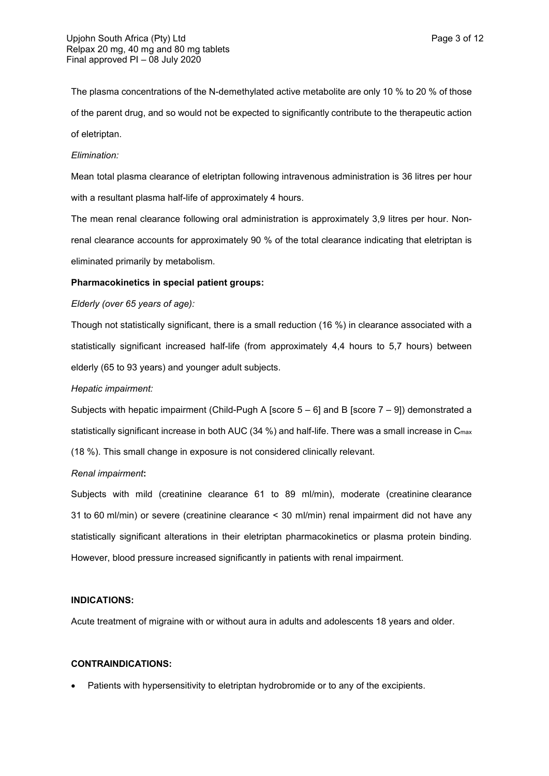The plasma concentrations of the N-demethylated active metabolite are only 10 % to 20 % of those of the parent drug, and so would not be expected to significantly contribute to the therapeutic action of eletriptan.

## *Elimination:*

Mean total plasma clearance of eletriptan following intravenous administration is 36 litres per hour with a resultant plasma half-life of approximately 4 hours.

The mean renal clearance following oral administration is approximately 3,9 litres per hour. Nonrenal clearance accounts for approximately 90 % of the total clearance indicating that eletriptan is eliminated primarily by metabolism.

#### **Pharmacokinetics in special patient groups:**

#### *Elderly (over 65 years of age):*

Though not statistically significant, there is a small reduction (16 %) in clearance associated with a statistically significant increased half-life (from approximately 4,4 hours to 5,7 hours) between elderly (65 to 93 years) and younger adult subjects.

#### *Hepatic impairment:*

Subjects with hepatic impairment (Child-Pugh A [score  $5 - 61$  and B [score  $7 - 91$ ] demonstrated a statistically significant increase in both AUC (34 %) and half-life. There was a small increase in C<sub>max</sub> (18 %). This small change in exposure is not considered clinically relevant.

#### *Renal impairment***:**

Subjects with mild (creatinine clearance 61 to 89 ml/min), moderate (creatinine clearance 31 to 60 ml/min) or severe (creatinine clearance < 30 ml/min) renal impairment did not have any statistically significant alterations in their eletriptan pharmacokinetics or plasma protein binding. However, blood pressure increased significantly in patients with renal impairment.

## **INDICATIONS:**

Acute treatment of migraine with or without aura in adults and adolescents 18 years and older.

#### **CONTRAINDICATIONS:**

Patients with hypersensitivity to eletriptan hydrobromide or to any of the excipients.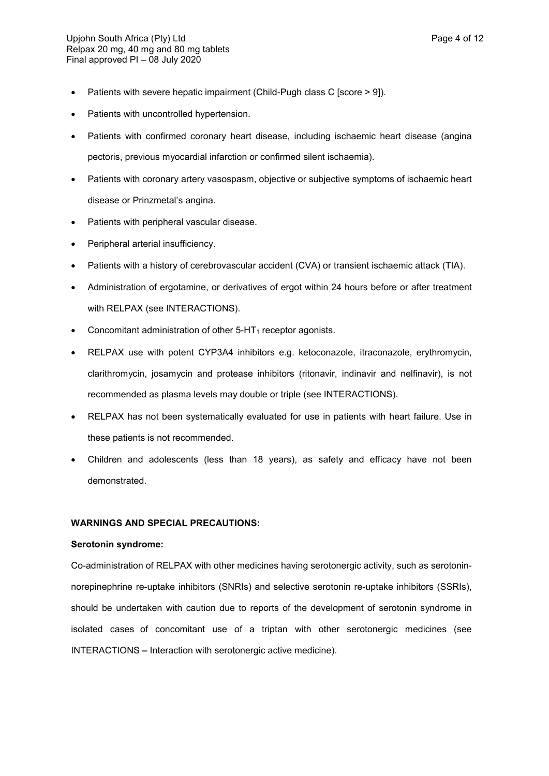- Patients with severe hepatic impairment (Child-Pugh class C [score > 9]).
- Patients with uncontrolled hypertension.
- Patients with confirmed coronary heart disease, including ischaemic heart disease (angina pectoris, previous myocardial infarction or confirmed silent ischaemia).
- Patients with coronary artery vasospasm, objective or subjective symptoms of ischaemic heart disease or Prinzmetal's angina.
- Patients with peripheral vascular disease.
- Peripheral arterial insufficiency.
- Patients with a history of cerebrovascular accident (CVA) or transient ischaemic attack (TIA).
- Administration of ergotamine, or derivatives of ergot within 24 hours before or after treatment with RELPAX (see INTERACTIONS).
- Concomitant administration of other  $5-HT_1$  receptor agonists.
- RELPAX use with potent CYP3A4 inhibitors e.g. ketoconazole, itraconazole, erythromycin, clarithromycin, josamycin and protease inhibitors (ritonavir, indinavir and nelfinavir), is not recommended as plasma levels may double or triple (see INTERACTIONS).
- RELPAX has not been systematically evaluated for use in patients with heart failure. Use in these patients is not recommended.
- Children and adolescents (less than 18 years), as safety and efficacy have not been demonstrated.

## **WARNINGS AND SPECIAL PRECAUTIONS:**

### **Serotonin syndrome:**

Co-administration of RELPAX with other medicines having serotonergic activity, such as serotoninnorepinephrine re-uptake inhibitors (SNRIs) and selective serotonin re-uptake inhibitors (SSRIs), should be undertaken with caution due to reports of the development of serotonin syndrome in isolated cases of concomitant use of a triptan with other serotonergic medicines (see INTERACTIONS **–** Interaction with serotonergic active medicine).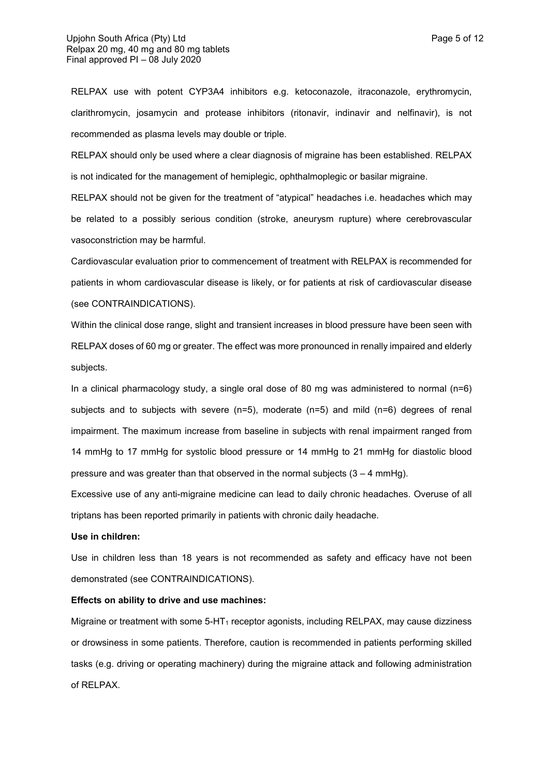RELPAX use with potent CYP3A4 inhibitors e.g. ketoconazole, itraconazole, erythromycin, clarithromycin, josamycin and protease inhibitors (ritonavir, indinavir and nelfinavir), is not recommended as plasma levels may double or triple.

RELPAX should only be used where a clear diagnosis of migraine has been established. RELPAX is not indicated for the management of hemiplegic, ophthalmoplegic or basilar migraine.

RELPAX should not be given for the treatment of "atypical" headaches i.e. headaches which may be related to a possibly serious condition (stroke, aneurysm rupture) where cerebrovascular vasoconstriction may be harmful.

Cardiovascular evaluation prior to commencement of treatment with RELPAX is recommended for patients in whom cardiovascular disease is likely, or for patients at risk of cardiovascular disease (see CONTRAINDICATIONS).

Within the clinical dose range, slight and transient increases in blood pressure have been seen with RELPAX doses of 60 mg or greater. The effect was more pronounced in renally impaired and elderly subjects.

In a clinical pharmacology study, a single oral dose of 80 mg was administered to normal  $(n=6)$ subjects and to subjects with severe (n=5), moderate (n=5) and mild (n=6) degrees of renal impairment. The maximum increase from baseline in subjects with renal impairment ranged from 14 mmHg to 17 mmHg for systolic blood pressure or 14 mmHg to 21 mmHg for diastolic blood pressure and was greater than that observed in the normal subjects  $(3 - 4 \text{ mmHg})$ .

Excessive use of any anti-migraine medicine can lead to daily chronic headaches. Overuse of all triptans has been reported primarily in patients with chronic daily headache.

#### **Use in children:**

Use in children less than 18 years is not recommended as safety and efficacy have not been demonstrated (see CONTRAINDICATIONS).

### **Effects on ability to drive and use machines:**

Migraine or treatment with some  $5-HT_1$  receptor agonists, including RELPAX, may cause dizziness or drowsiness in some patients. Therefore, caution is recommended in patients performing skilled tasks (e.g. driving or operating machinery) during the migraine attack and following administration of RELPAX.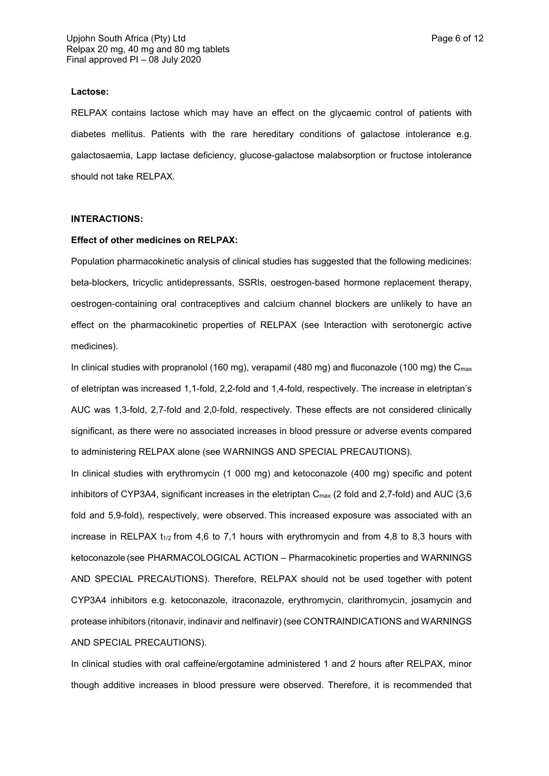#### **Lactose:**

RELPAX contains lactose which may have an effect on the glycaemic control of patients with diabetes mellitus. Patients with the rare hereditary conditions of galactose intolerance e.g. galactosaemia, Lapp lactase deficiency, glucose-galactose malabsorption or fructose intolerance should not take RELPAX.

## **INTERACTIONS:**

#### **Effect of other medicines on RELPAX:**

Population pharmacokinetic analysis of clinical studies has suggested that the following medicines: beta-blockers, tricyclic antidepressants, SSRIs, oestrogen-based hormone replacement therapy, oestrogen-containing oral contraceptives and calcium channel blockers are unlikely to have an effect on the pharmacokinetic properties of RELPAX (see Interaction with serotonergic active medicines).

In clinical studies with propranolol (160 mg), verapamil (480 mg) and fluconazole (100 mg) the  $C_{\text{max}}$ of eletriptan was increased 1,1-fold, 2,2-fold and 1,4-fold, respectively. The increase in eletriptan's AUC was 1,3-fold, 2,7-fold and 2,0-fold, respectively. These effects are not considered clinically significant, as there were no associated increases in blood pressure or adverse events compared to administering RELPAX alone (see WARNINGS AND SPECIAL PRECAUTIONS).

In clinical studies with erythromycin (1 000 mg) and ketoconazole (400 mg) specific and potent inhibitors of CYP3A4, significant increases in the eletriptan  $C_{\text{max}}$  (2 fold and 2,7-fold) and AUC (3,6 fold and 5,9-fold), respectively, were observed. This increased exposure was associated with an increase in RELPAX  $t_{1/2}$  from 4,6 to 7,1 hours with erythromycin and from 4,8 to 8,3 hours with ketoconazole (see PHARMACOLOGICAL ACTION – Pharmacokinetic properties and WARNINGS AND SPECIAL PRECAUTIONS). Therefore, RELPAX should not be used together with potent CYP3A4 inhibitors e.g. ketoconazole, itraconazole, erythromycin, clarithromycin, josamycin and protease inhibitors (ritonavir, indinavir and nelfinavir) (see CONTRAINDICATIONS and WARNINGS AND SPECIAL PRECAUTIONS).

In clinical studies with oral caffeine/ergotamine administered 1 and 2 hours after RELPAX, minor though additive increases in blood pressure were observed. Therefore, it is recommended that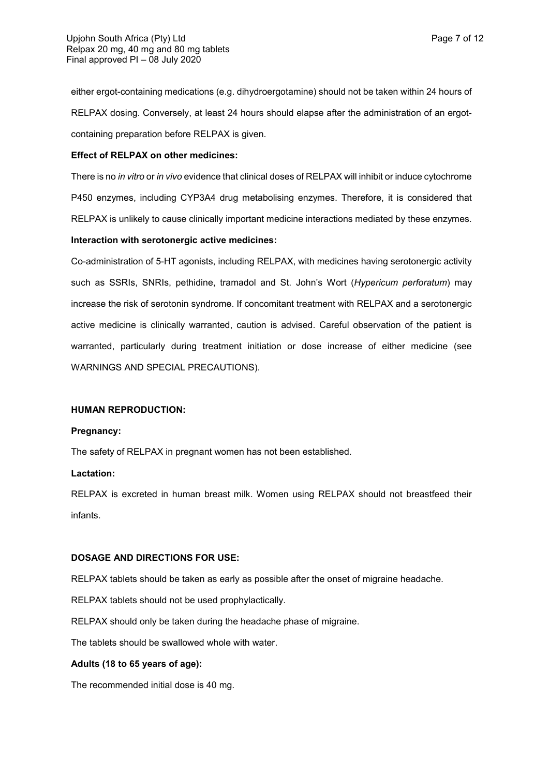either ergot-containing medications (e.g. dihydroergotamine) should not be taken within 24 hours of RELPAX dosing. Conversely, at least 24 hours should elapse after the administration of an ergotcontaining preparation before RELPAX is given.

## **Effect of RELPAX on other medicines:**

There is no *in vitro* or *in vivo* evidence that clinical doses of RELPAX will inhibit or induce cytochrome P450 enzymes, including CYP3A4 drug metabolising enzymes. Therefore, it is considered that RELPAX is unlikely to cause clinically important medicine interactions mediated by these enzymes.

## **Interaction with serotonergic active medicines:**

Co-administration of 5-HT agonists, including RELPAX, with medicines having serotonergic activity such as SSRIs, SNRIs, pethidine, tramadol and St. John's Wort (*Hypericum perforatum*) may increase the risk of serotonin syndrome. If concomitant treatment with RELPAX and a serotonergic active medicine is clinically warranted, caution is advised. Careful observation of the patient is warranted, particularly during treatment initiation or dose increase of either medicine (see WARNINGS AND SPECIAL PRECAUTIONS).

### **HUMAN REPRODUCTION:**

### **Pregnancy:**

The safety of RELPAX in pregnant women has not been established.

### **Lactation:**

RELPAX is excreted in human breast milk. Women using RELPAX should not breastfeed their infants.

### **DOSAGE AND DIRECTIONS FOR USE:**

RELPAX tablets should be taken as early as possible after the onset of migraine headache.

RELPAX tablets should not be used prophylactically.

RELPAX should only be taken during the headache phase of migraine.

The tablets should be swallowed whole with water.

## **Adults (18 to 65 years of age):**

The recommended initial dose is 40 mg.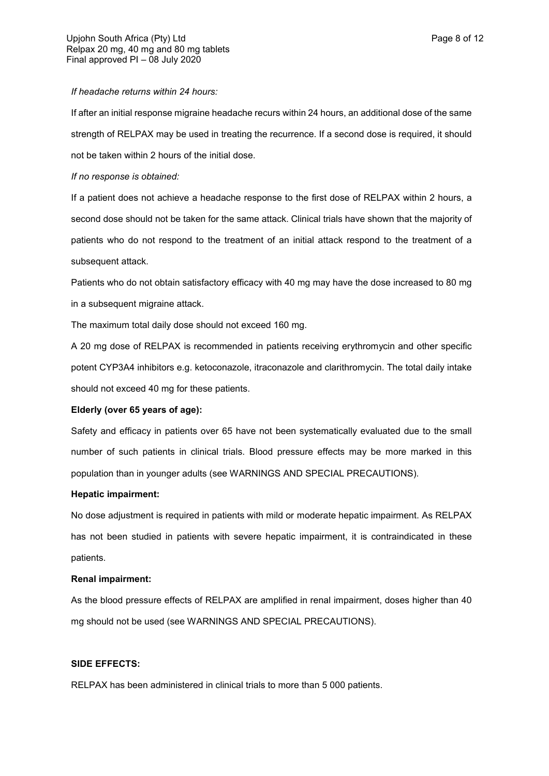#### *If headache returns within 24 hours:*

If after an initial response migraine headache recurs within 24 hours, an additional dose of the same strength of RELPAX may be used in treating the recurrence. If a second dose is required, it should not be taken within 2 hours of the initial dose.

### *If no response is obtained:*

If a patient does not achieve a headache response to the first dose of RELPAX within 2 hours, a second dose should not be taken for the same attack. Clinical trials have shown that the majority of patients who do not respond to the treatment of an initial attack respond to the treatment of a subsequent attack.

Patients who do not obtain satisfactory efficacy with 40 mg may have the dose increased to 80 mg in a subsequent migraine attack.

The maximum total daily dose should not exceed 160 mg.

A 20 mg dose of RELPAX is recommended in patients receiving erythromycin and other specific potent CYP3A4 inhibitors e.g. ketoconazole, itraconazole and clarithromycin. The total daily intake should not exceed 40 mg for these patients.

### **Elderly (over 65 years of age):**

Safety and efficacy in patients over 65 have not been systematically evaluated due to the small number of such patients in clinical trials. Blood pressure effects may be more marked in this population than in younger adults (see WARNINGS AND SPECIAL PRECAUTIONS).

### **Hepatic impairment:**

No dose adjustment is required in patients with mild or moderate hepatic impairment. As RELPAX has not been studied in patients with severe hepatic impairment, it is contraindicated in these patients.

## **Renal impairment:**

As the blood pressure effects of RELPAX are amplified in renal impairment, doses higher than 40 mg should not be used (see WARNINGS AND SPECIAL PRECAUTIONS).

## **SIDE EFFECTS:**

RELPAX has been administered in clinical trials to more than 5 000 patients.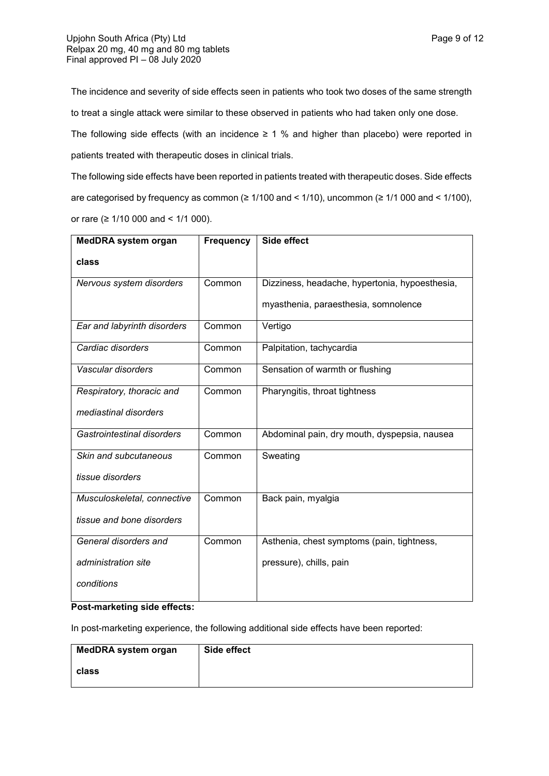The incidence and severity of side effects seen in patients who took two doses of the same strength to treat a single attack were similar to these observed in patients who had taken only one dose.

The following side effects (with an incidence  $\geq 1$  % and higher than placebo) were reported in patients treated with therapeutic doses in clinical trials.

The following side effects have been reported in patients treated with therapeutic doses. Side effects are categorised by frequency as common (≥ 1/100 and < 1/10), uncommon (≥ 1/1 000 and < 1/100), or rare (≥ 1/10 000 and < 1/1 000).

| <b>MedDRA system organ</b>  | <b>Frequency</b> | Side effect                                    |
|-----------------------------|------------------|------------------------------------------------|
| class                       |                  |                                                |
| Nervous system disorders    | Common           | Dizziness, headache, hypertonia, hypoesthesia, |
|                             |                  | myasthenia, paraesthesia, somnolence           |
| Ear and labyrinth disorders | Common           | Vertigo                                        |
| Cardiac disorders           | Common           | Palpitation, tachycardia                       |
| Vascular disorders          | Common           | Sensation of warmth or flushing                |
| Respiratory, thoracic and   | Common           | Pharyngitis, throat tightness                  |
| mediastinal disorders       |                  |                                                |
| Gastrointestinal disorders  | Common           | Abdominal pain, dry mouth, dyspepsia, nausea   |
| Skin and subcutaneous       | Common           | Sweating                                       |
| tissue disorders            |                  |                                                |
| Musculoskeletal, connective | Common           | Back pain, myalgia                             |
| tissue and bone disorders   |                  |                                                |
| General disorders and       | Common           | Asthenia, chest symptoms (pain, tightness,     |
| administration site         |                  | pressure), chills, pain                        |
| conditions                  |                  |                                                |

## **Post-marketing side effects:**

In post-marketing experience, the following additional side effects have been reported:

| MedDRA system organ | Side effect |
|---------------------|-------------|
| class               |             |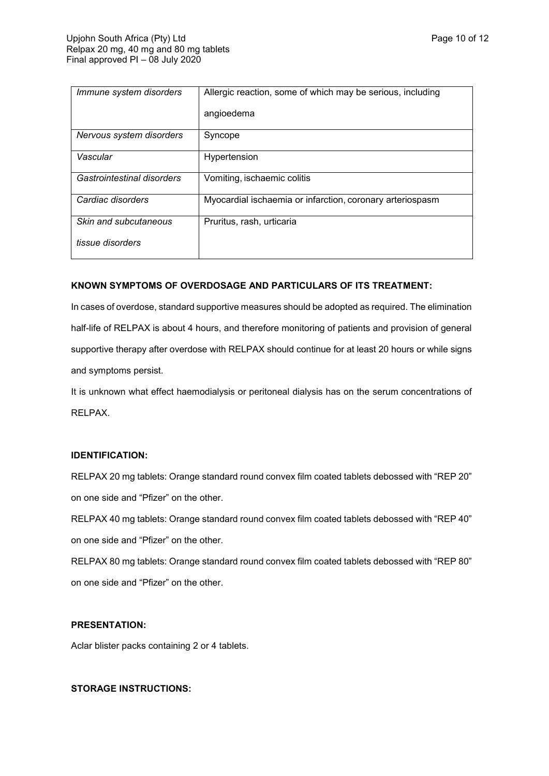| Immune system disorders    | Allergic reaction, some of which may be serious, including |
|----------------------------|------------------------------------------------------------|
|                            | angioedema                                                 |
| Nervous system disorders   | Syncope                                                    |
| Vascular                   | Hypertension                                               |
| Gastrointestinal disorders | Vomiting, ischaemic colitis                                |
| Cardiac disorders          | Myocardial ischaemia or infarction, coronary arteriospasm  |
| Skin and subcutaneous      | Pruritus, rash, urticaria                                  |
| tissue disorders           |                                                            |

## **KNOWN SYMPTOMS OF OVERDOSAGE AND PARTICULARS OF ITS TREATMENT:**

In cases of overdose, standard supportive measures should be adopted as required. The elimination half-life of RELPAX is about 4 hours, and therefore monitoring of patients and provision of general supportive therapy after overdose with RELPAX should continue for at least 20 hours or while signs and symptoms persist.

It is unknown what effect haemodialysis or peritoneal dialysis has on the serum concentrations of RELPAX.

### **IDENTIFICATION:**

RELPAX 20 mg tablets: Orange standard round convex film coated tablets debossed with "REP 20" on one side and "Pfizer" on the other.

RELPAX 40 mg tablets: Orange standard round convex film coated tablets debossed with "REP 40" on one side and "Pfizer" on the other.

RELPAX 80 mg tablets: Orange standard round convex film coated tablets debossed with "REP 80" on one side and "Pfizer" on the other.

## **PRESENTATION:**

Aclar blister packs containing 2 or 4 tablets.

### **STORAGE INSTRUCTIONS:**